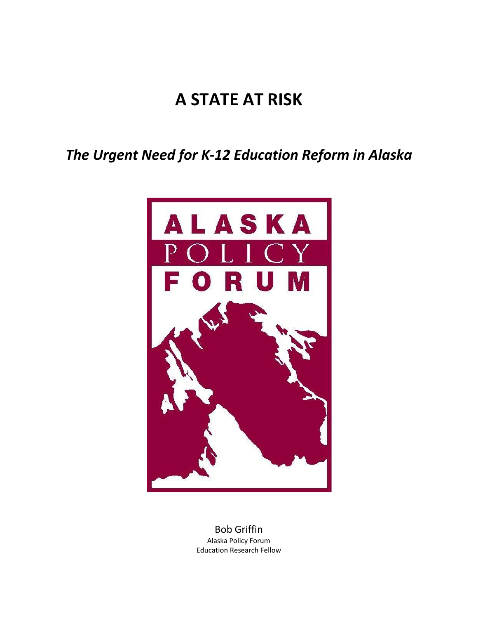# **A STATE AT RISK**

*The Urgent Need for K-12 Education Reform in Alaska*



Bob Griffin Alaska Policy Forum Education Research Fellow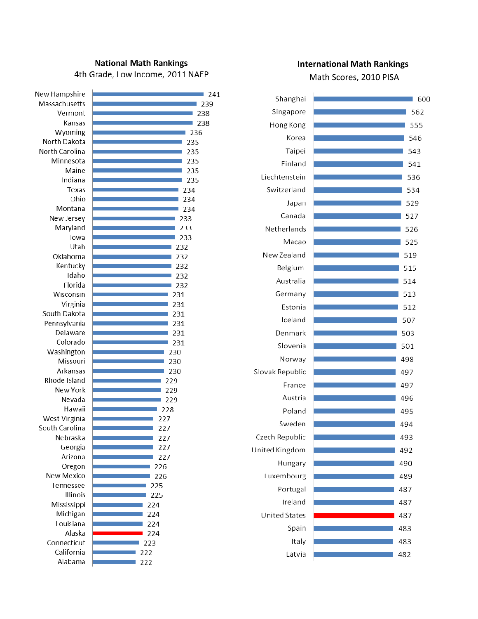## **National Math Rankings** 4th Grade, Low Income, 2011 NAEP

| New Hampshire   | 241 |
|-----------------|-----|
| Massachusetts   | 239 |
| Vermont         | 238 |
| Kansas          | 238 |
| Wyoming         | 236 |
| North Dakota    | 235 |
| North Carolina  | 235 |
| Minnesota       | 235 |
| Maine           | 235 |
| Indiana         | 235 |
| Texas           | 234 |
| Ohio            | 234 |
| Montana         | 234 |
| New Jersey      | 233 |
| Maryland        | 233 |
| Iowa            | 233 |
| Utah            | 232 |
| Oklahoma        | 232 |
| Kentucky        | 232 |
| Idaho           | 232 |
| Florida         | 232 |
| Wisconsin       | 231 |
| Virginia        | 231 |
| South Dakota    | 231 |
| Pennsylvania    | 231 |
| Delaware        | 231 |
| Colorado        | 231 |
| Washington      | 230 |
| Missouri        | 230 |
| Arkansas        | 230 |
| Rhode Island    | 229 |
| New York        | 229 |
| Nevada          | 229 |
| Hawaii          | 228 |
| West Virginia   | 227 |
| South Carolina  | 227 |
| Nebraska        | 227 |
| Georgia         | 227 |
| Arizona         | 227 |
| Oregon          | 226 |
| New Mexico      | 226 |
| Tennessee       | 225 |
| <b>Illinois</b> | 225 |
| Mississippi     | 224 |
| Michigan        | 224 |
| Louisiana       | 224 |
| Alaska          | 224 |
| Connecticut     | 223 |
| California      | 222 |
| Alabama         | 222 |

## **International Math Rankings**

Math Scores, 2010 PISA

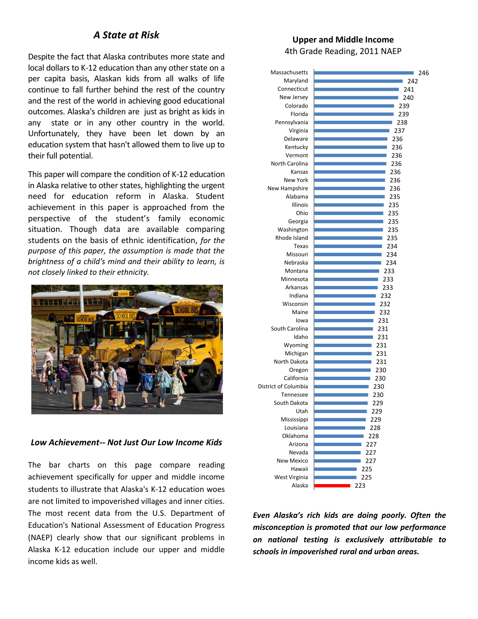# *A State at Risk*

Despite the fact that Alaska contributes more state and local dollars to K-12 education than any other state on a per capita basis, Alaskan kids from all walks of life continue to fall further behind the rest of the country and the rest of the world in achieving good educational outcomes. Alaska's children are just as bright as kids in any state or in any other country in the world. Unfortunately, they have been let down by an education system that hasn't allowed them to live up to their full potential.

This paper will compare the condition of K-12 education in Alaska relative to other states, highlighting the urgent need for education reform in Alaska. Student achievement in this paper is approached from the perspective of the student's family economic situation. Though data are available comparing students on the basis of ethnic identification, *for the purpose of this paper, the assumption is made that the brightness of a child's mind and their ability to learn, is not closely linked to their ethnicity.* 



## *Low Achievement-- Not Just Our Low Income Kids*

The bar charts on this page compare reading achievement specifically for upper and middle income students to illustrate that Alaska's K-12 education woes are not limited to impoverished villages and inner cities. The most recent data from the U.S. Department of Education's National Assessment of Education Progress (NAEP) clearly show that our significant problems in Alaska K-12 education include our upper and middle income kids as well.

## **Upper and Middle Income** 4th Grade Reading, 2011 NAEP

| Massachusetts           | 246 |
|-------------------------|-----|
| Maryland                | 242 |
| Connecticut             | 241 |
| New Jersey              | 240 |
| Colorado                | 239 |
| Florida                 | 239 |
| Pennsylvania            | 238 |
| Virginia                | 237 |
| Delaware                | 236 |
| Kentucky                | 236 |
| Vermont                 | 236 |
| North Carolina          | 236 |
| Kansas                  | 236 |
| <b>New York</b>         | 236 |
| New Hampshire           | 236 |
| Alabama                 | 235 |
| Illinois                | 235 |
| Ohio                    | 235 |
| Georgia                 | 235 |
| Washington              | 235 |
| Rhode Island            | 235 |
| Texas                   | 234 |
| Missouri                | 234 |
| Nebraska                | 234 |
| Montana                 | 233 |
| Minnesota               | 233 |
| Arkansas                | 233 |
| Indiana                 | 232 |
| Wisconsin               | 232 |
| Maine                   | 232 |
| lowa                    | 231 |
| South Carolina          | 231 |
| Idaho                   | 231 |
| Wyoming                 | 231 |
| Michigan                | 231 |
| North Dakota            | 231 |
| Oregon                  | 230 |
| California              | 230 |
| District of Columbia    | 230 |
| Tennessee               | 230 |
| South Dakota            | 229 |
| Utah                    | 229 |
| Mississippi             | 229 |
| Louisiana               | 228 |
| Oklahoma                | 228 |
| Arizona                 | 227 |
| Nevada                  | 227 |
| <b>New Mexico</b>       | 227 |
| Hawaii                  | 225 |
| West Virginia<br>Alaska | 225 |
|                         | 223 |

*Even Alaska's rich kids are doing poorly. Often the misconception is promoted that our low performance on national testing is exclusively attributable to schools in impoverished rural and urban areas.*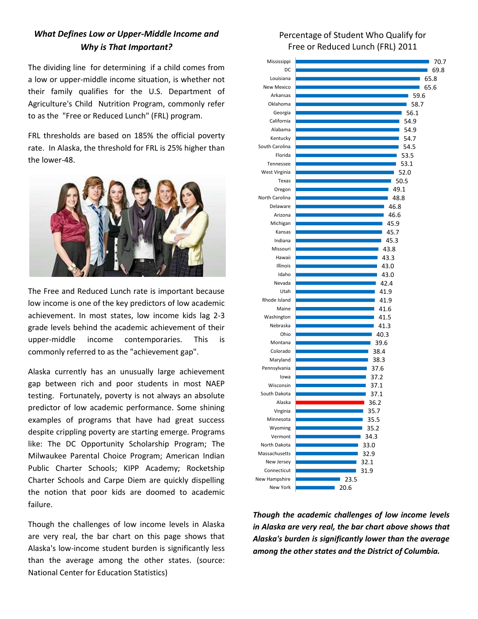# *What Defines Low or Upper-Middle Income and Why is That Important?*

The dividing line for determining if a child comes from a low or upper-middle income situation, is whether not their family qualifies for the U.S. Department of Agriculture's Child Nutrition Program, commonly refer to as the "Free or Reduced Lunch" (FRL) program.

FRL thresholds are based on 185% the official poverty rate. In Alaska, the threshold for FRL is 25% higher than the lower-48.



The Free and Reduced Lunch rate is important because low income is one of the key predictors of low academic achievement. In most states, low income kids lag 2-3 grade levels behind the academic achievement of their upper-middle income contemporaries. This is commonly referred to as the "achievement gap".

Alaska currently has an unusually large achievement gap between rich and poor students in most NAEP testing. Fortunately, poverty is not always an absolute predictor of low academic performance. Some shining examples of programs that have had great success despite crippling poverty are starting emerge. Programs like: The DC Opportunity Scholarship Program; The Milwaukee Parental Choice Program; American Indian Public Charter Schools; KIPP Academy; Rocketship Charter Schools and Carpe Diem are quickly dispelling the notion that poor kids are doomed to academic failure.

Though the challenges of low income levels in Alaska are very real, the bar chart on this page shows that Alaska's low-income student burden is significantly less than the average among the other states. (source: National Center for Education Statistics)

## Percentage of Student Who Qualify for Free or Reduced Lunch (FRL) 2011



*Though the academic challenges of low income levels in Alaska are very real, the bar chart above shows that Alaska's burden is significantly lower than the average among the other states and the District of Columbia.*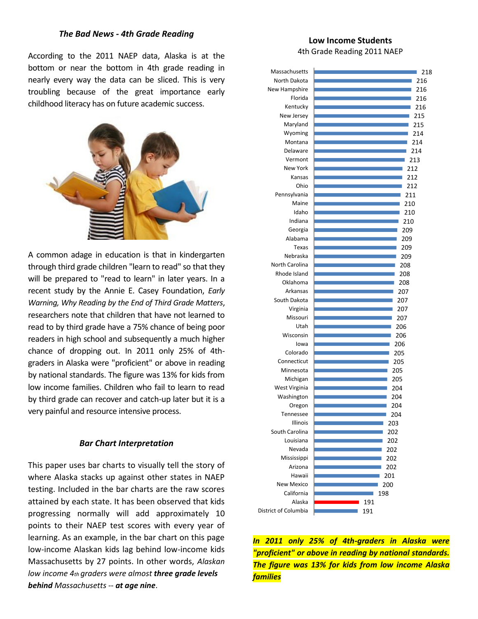### *The Bad News - 4th Grade Reading*

According to the 2011 NAEP data, Alaska is at the bottom or near the bottom in 4th grade reading in nearly every way the data can be sliced. This is very troubling because of the great importance early childhood literacy has on future academic success.



A common adage in education is that in kindergarten through third grade children "learn to read" so that they will be prepared to "read to learn" in later years. In a recent study by the Annie E. Casey Foundation, *Early Warning, Why Reading by the End of Third Grade Matters*, researchers note that children that have not learned to read to by third grade have a 75% chance of being poor readers in high school and subsequently a much higher chance of dropping out. In 2011 only 25% of 4thgraders in Alaska were "proficient" or above in reading by national standards. The figure was 13% for kids from low income families. Children who fail to learn to read by third grade can recover and catch-up later but it is a very painful and resource intensive process.

#### *Bar Chart Interpretation*

This paper uses bar charts to visually tell the story of where Alaska stacks up against other states in NAEP testing. Included in the bar charts are the raw scores attained by each state. It has been observed that kids progressing normally will add approximately 10 points to their NAEP test scores with every year of learning. As an example, in the bar chart on this page low-income Alaskan kids lag behind low-income kids Massachusetts by 27 points. In other words, *Alaskan low income 4th graders were almost three grade levels behind Massachusetts -- at age nine*.

### **Low Income Students** 4th Grade Reading 2011 NAEP



*In 2011 only 25% of 4th-graders in Alaska were "proficient" or above in reading by national standards. The figure was 13% for kids from low income Alaska families*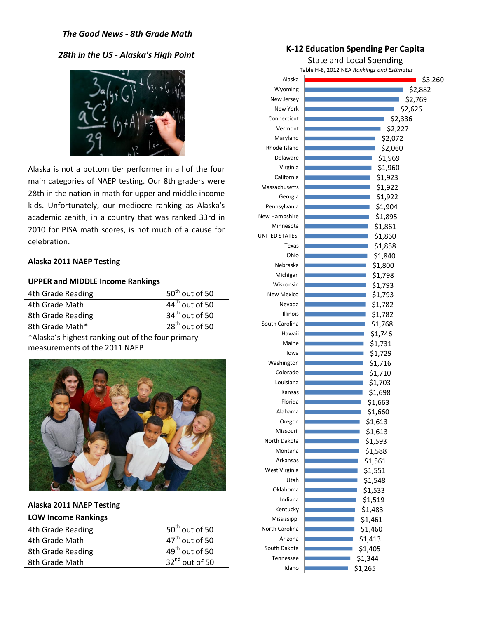## *The Good News - 8th Grade Math*

## *28th in the US - Alaska's High Point*



Alaska is not a bottom tier performer in all of the four main categories of NAEP testing. Our 8th graders were 28th in the nation in math for upper and middle income kids. Unfortunately, our mediocre ranking as Alaska's academic zenith, in a country that was ranked 33rd in 2010 for PISA math scores, is not much of a cause for celebration.

#### **Alaska 2011 NAEP Testing**

### **UPPER and MIDDLE Income Rankings**

| 4th Grade Reading | $50th$ out of 50 |
|-------------------|------------------|
| 4th Grade Math    | $44th$ out of 50 |
| 8th Grade Reading | $34th$ out of 50 |
| 8th Grade Math*   | $28th$ out of 50 |

\*Alaska's highest ranking out of the four primary measurements of the 2011 NAEP



## **Alaska 2011 NAEP Testing LOW Income Rankings**

| 4th Grade Reading | $50th$ out of 50    | North Carolina | \$1,46  |
|-------------------|---------------------|----------------|---------|
| 4th Grade Math    | $47th$ out of 50    | Arizona        | \$1,41  |
| 8th Grade Reading | $49th$ out of 50    | South Dakota   | \$1,40  |
| 8th Grade Math    | $32^{nd}$ out of 50 | Tennessee      | \$1.344 |
|                   |                     | Idaho          | \$1,265 |

## **K-12 Education Spending Per Capita**

State and Local Spending

Table H-8, 2012 NEA *Rankings and Estimates*

| Alaska            | \$3,260 |
|-------------------|---------|
| Wyoming           | \$2,882 |
| New Jersey        | \$2,769 |
| New York          | \$2,626 |
| Connecticut       | \$2,336 |
| Vermont           | \$2,227 |
| Maryland          | \$2,072 |
| Rhode Island      | \$2,060 |
| Delaware          | \$1,969 |
| Virginia          | \$1,960 |
| California        | \$1,923 |
| Massachusetts     | \$1,922 |
| Georgia           | \$1,922 |
| Pennsylvania      | \$1,904 |
| New Hampshire     | \$1,895 |
| Minnesota         | \$1,861 |
| UNITED STATES     | \$1,860 |
| Texas             | \$1,858 |
| Ohio              | \$1,840 |
| Nebraska          | \$1,800 |
| Michigan          | \$1,798 |
| Wisconsin         | \$1,793 |
| <b>New Mexico</b> | \$1,793 |
| Nevada            | \$1,782 |
| Illinois          | \$1,782 |
| South Carolina    | \$1,768 |
| Hawaii            | \$1,746 |
| Maine             | \$1,731 |
| lowa              | \$1,729 |
| Washington        | \$1,716 |
| Colorado          | \$1,710 |
| Louisiana         | \$1,703 |
| Kansas            | \$1,698 |
| Florida           | \$1,663 |
| Alabama           | \$1,660 |
| Oregon            | \$1,613 |
| Missouri          | \$1,613 |
| North Dakota      | \$1,593 |
| Montana           | \$1,588 |
| Arkansas          | \$1,561 |
| West Virginia     | \$1,551 |
| Utah              | \$1,548 |
| Oklahoma          | \$1,533 |
| Indiana           | \$1,519 |
| Kentucky          | \$1,483 |
| Mississippi       | \$1,461 |
| North Carolina    | \$1,460 |
| Arizona           | \$1,413 |
| South Dakota      | \$1,405 |
| Tennessee         | \$1,344 |
| Idaho             | \$1,265 |
|                   |         |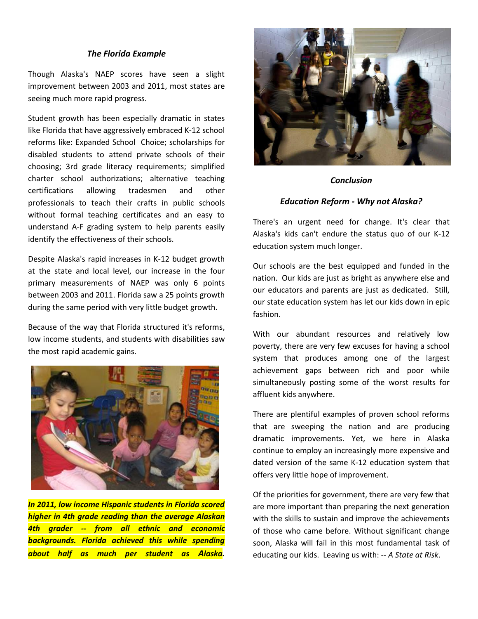#### *The Florida Example*

Though Alaska's NAEP scores have seen a slight improvement between 2003 and 2011, most states are seeing much more rapid progress.

Student growth has been especially dramatic in states like Florida that have aggressively embraced K-12 school reforms like: Expanded School Choice; scholarships for disabled students to attend private schools of their choosing; 3rd grade literacy requirements; simplified charter school authorizations; alternative teaching certifications allowing tradesmen and other professionals to teach their crafts in public schools without formal teaching certificates and an easy to understand A-F grading system to help parents easily identify the effectiveness of their schools.

Despite Alaska's rapid increases in K-12 budget growth at the state and local level, our increase in the four primary measurements of NAEP was only 6 points between 2003 and 2011. Florida saw a 25 points growth during the same period with very little budget growth.

Because of the way that Florida structured it's reforms, low income students, and students with disabilities saw the most rapid academic gains.



*In 2011, low income Hispanic students in Florida scored higher in 4th grade reading than the average Alaskan 4th grader -- from all ethnic and economic backgrounds. Florida achieved this while spending about half as much per student as Alaska.* 



### *Conclusion*

### *Education Reform - Why not Alaska?*

There's an urgent need for change. It's clear that Alaska's kids can't endure the status quo of our K-12 education system much longer.

Our schools are the best equipped and funded in the nation. Our kids are just as bright as anywhere else and our educators and parents are just as dedicated. Still, our state education system has let our kids down in epic fashion.

With our abundant resources and relatively low poverty, there are very few excuses for having a school system that produces among one of the largest achievement gaps between rich and poor while simultaneously posting some of the worst results for affluent kids anywhere.

There are plentiful examples of proven school reforms that are sweeping the nation and are producing dramatic improvements. Yet, we here in Alaska continue to employ an increasingly more expensive and dated version of the same K-12 education system that offers very little hope of improvement.

Of the priorities for government, there are very few that are more important than preparing the next generation with the skills to sustain and improve the achievements of those who came before. Without significant change soon, Alaska will fail in this most fundamental task of educating our kids. Leaving us with: *-- A State at Risk*.